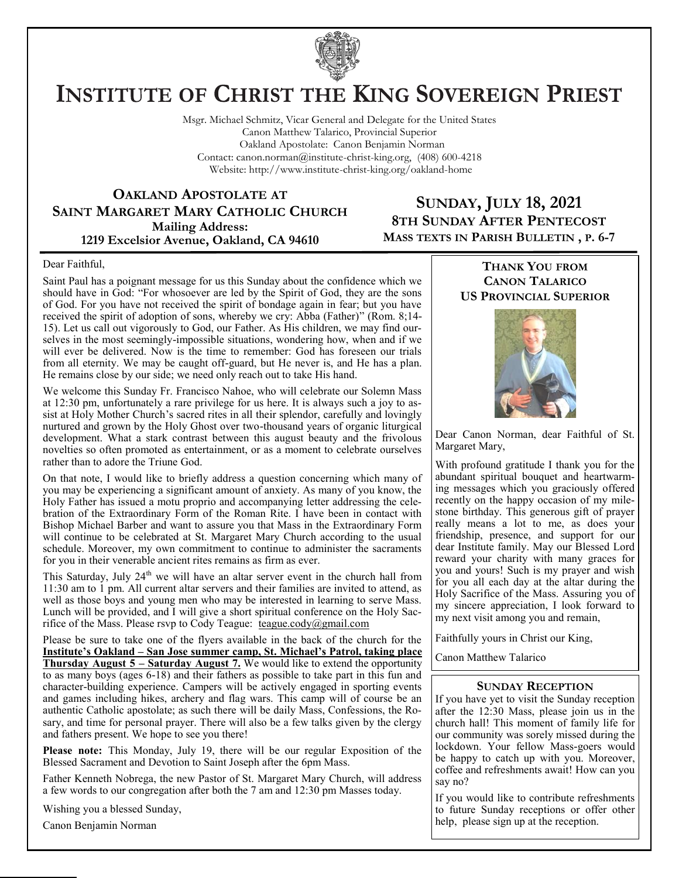

# **INSTITUTE OF CHRIST THE KING SOVEREIGN PRIEST**

Msgr. Michael Schmitz, Vicar General and Delegate for the United States Canon Matthew Talarico, Provincial Superior Oakland Apostolate: Canon Benjamin Norman Contact: canon.norman@institute-christ-king.org, (408) 600-4218 Website: http://www.institute-christ-king.org/oakland-home

**OAKLAND APOSTOLATE AT SAINT MARGARET MARY CATHOLIC CHURCH Mailing Address: 1219 Excelsior Avenue, Oakland, CA 94610**

### **SUNDAY, JULY 18, 2021 8TH SUNDAY AFTER PENTECOST MASS TEXTS IN PARISH BULLETIN , P. 6-7**

#### Dear Faithful,

Saint Paul has a poignant message for us this Sunday about the confidence which we should have in God: "For whosoever are led by the Spirit of God, they are the sons of God. For you have not received the spirit of bondage again in fear; but you have received the spirit of adoption of sons, whereby we cry: Abba (Father)" (Rom. 8;14- 15). Let us call out vigorously to God, our Father. As His children, we may find ourselves in the most seemingly-impossible situations, wondering how, when and if we will ever be delivered. Now is the time to remember: God has foreseen our trials from all eternity. We may be caught off-guard, but He never is, and He has a plan. He remains close by our side; we need only reach out to take His hand.

We welcome this Sunday Fr. Francisco Nahoe, who will celebrate our Solemn Mass at 12:30 pm, unfortunately a rare privilege for us here. It is always such a joy to assist at Holy Mother Church's sacred rites in all their splendor, carefully and lovingly nurtured and grown by the Holy Ghost over two-thousand years of organic liturgical development. What a stark contrast between this august beauty and the frivolous novelties so often promoted as entertainment, or as a moment to celebrate ourselves rather than to adore the Triune God.

On that note, I would like to briefly address a question concerning which many of you may be experiencing a significant amount of anxiety. As many of you know, the Holy Father has issued a motu proprio and accompanying letter addressing the celebration of the Extraordinary Form of the Roman Rite. I have been in contact with Bishop Michael Barber and want to assure you that Mass in the Extraordinary Form will continue to be celebrated at St. Margaret Mary Church according to the usual schedule. Moreover, my own commitment to continue to administer the sacraments for you in their venerable ancient rites remains as firm as ever.

This Saturday, July  $24<sup>th</sup>$  we will have an altar server event in the church hall from 11:30 am to 1 pm. All current altar servers and their families are invited to attend, as well as those boys and young men who may be interested in learning to serve Mass. Lunch will be provided, and I will give a short spiritual conference on the Holy Sacrifice of the Mass. Please rsvp to Cody Teague: [teague.cody@gmail.com](mailto:teague.cody@gmail.com)

Please be sure to take one of the flyers available in the back of the church for the **Institute's Oakland – San Jose summer camp, St. Michael's Patrol, taking place Thursday August 5 – Saturday August 7.** We would like to extend the opportunity to as many boys (ages 6-18) and their fathers as possible to take part in this fun and character-building experience. Campers will be actively engaged in sporting events and games including hikes, archery and flag wars. This camp will of course be an authentic Catholic apostolate; as such there will be daily Mass, Confessions, the Rosary, and time for personal prayer. There will also be a few talks given by the clergy and fathers present. We hope to see you there!

**Please note:** This Monday, July 19, there will be our regular Exposition of the Blessed Sacrament and Devotion to Saint Joseph after the 6pm Mass.

Father Kenneth Nobrega, the new Pastor of St. Margaret Mary Church, will address a few words to our congregation after both the 7 am and 12:30 pm Masses today.

Wishing you a blessed Sunday,

Canon Benjamin Norman

#### **THANK YOU FROM CANON TALARICO US PROVINCIAL SUPERIOR**



Dear Canon Norman, dear Faithful of St. Margaret Mary,

With profound gratitude I thank you for the abundant spiritual bouquet and heartwarming messages which you graciously offered recently on the happy occasion of my milestone birthday. This generous gift of prayer really means a lot to me, as does your friendship, presence, and support for our dear Institute family. May our Blessed Lord reward your charity with many graces for you and yours! Such is my prayer and wish for you all each day at the altar during the Holy Sacrifice of the Mass. Assuring you of my sincere appreciation, I look forward to my next visit among you and remain,

Faithfully yours in Christ our King,

Canon Matthew Talarico

#### **SUNDAY RECEPTION**

If you have yet to visit the Sunday reception after the 12:30 Mass, please join us in the church hall! This moment of family life for our community was sorely missed during the lockdown. Your fellow Mass-goers would be happy to catch up with you. Moreover, coffee and refreshments await! How can you say no?

If you would like to contribute refreshments to future Sunday receptions or offer other help, please sign up at the reception.